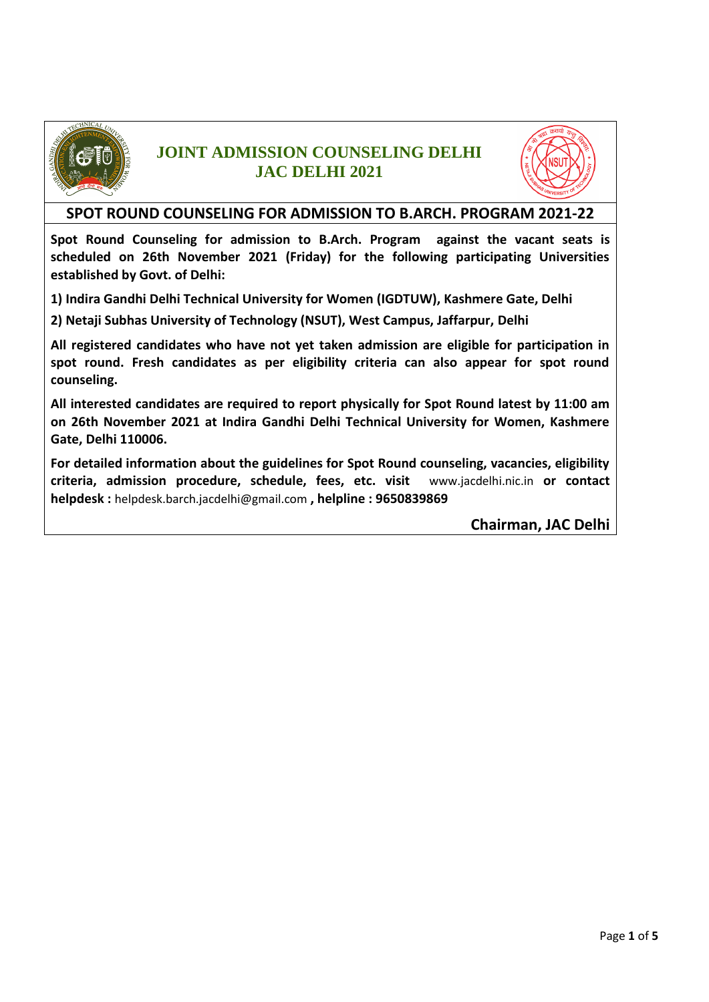

### **JOINT ADMISSION COUNSELING DELHI JAC DELHI 2021**



#### **SPOT ROUND COUNSELING FOR ADMISSION TO B.ARCH. PROGRAM 2021-22**

**Spot Round Counseling for admission to B.Arch. Program against the vacant seats is scheduled on 26th November 2021 (Friday) for the following participating Universities established by Govt. of Delhi:**

**1) Indira Gandhi Delhi Technical University for Women (IGDTUW), Kashmere Gate, Delhi**

**2) Netaji Subhas University of Technology (NSUT), West Campus, Jaffarpur, Delhi**

**All registered candidates who have not yet taken admission are eligible for participation in spot round. Fresh candidates as per eligibility criteria can also appear for spot round counseling.** 

**All interested candidates are required to report physically for Spot Round latest by 11:00 am on 26th November 2021 at Indira Gandhi Delhi Technical University for Women, Kashmere Gate, Delhi 110006.** 

**For detailed information about the guidelines for Spot Round counseling, vacancies, eligibility criteria, admission procedure, schedule, fees, etc. visit** [www.jacdelhi.nic.in](http://www.jacdelhi.nic.in/) **or contact helpdesk :** [helpdesk.barch.jacdelhi@gmail.com](mailto:helpdesk.barch.jacdelhi@gmail.com) **, helpline : 9650839869**

**Chairman, JAC Delhi**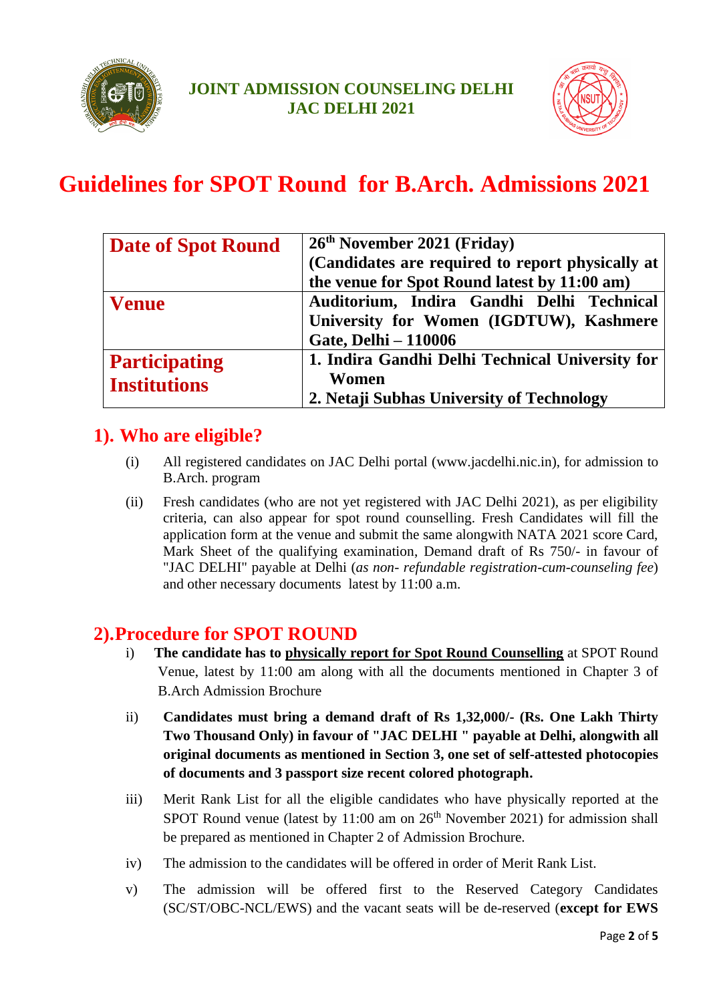



## **Guidelines for SPOT Round for B.Arch. Admissions 2021**

| <b>Date of Spot Round</b> | 26 <sup>th</sup> November 2021 (Friday)<br>(Candidates are required to report physically at |  |  |
|---------------------------|---------------------------------------------------------------------------------------------|--|--|
|                           |                                                                                             |  |  |
|                           | the venue for Spot Round latest by 11:00 am)                                                |  |  |
| <b>Venue</b>              | Auditorium, Indira Gandhi Delhi Technical                                                   |  |  |
|                           | University for Women (IGDTUW), Kashmere                                                     |  |  |
|                           | <b>Gate, Delhi - 110006</b>                                                                 |  |  |
| <b>Participating</b>      | 1. Indira Gandhi Delhi Technical University for                                             |  |  |
| <b>Institutions</b>       | Women                                                                                       |  |  |
|                           | 2. Netaji Subhas University of Technology                                                   |  |  |

### **1). Who are eligible?**

- (i) All registered candidates on JAC Delhi portal (www.jacdelhi.nic.in), for admission to B.Arch. program
- (ii) Fresh candidates (who are not yet registered with JAC Delhi 2021), as per eligibility criteria, can also appear for spot round counselling. Fresh Candidates will fill the application form at the venue and submit the same alongwith NATA 2021 score Card, Mark Sheet of the qualifying examination, Demand draft of Rs 750/- in favour of "JAC DELHI" payable at Delhi (*as non- refundable registration-cum-counseling fee*) and other necessary documents latest by 11:00 a.m.

### **2).Procedure for SPOT ROUND**

- i) **The candidate has to physically report for Spot Round Counselling** at SPOT Round Venue, latest by 11:00 am along with all the documents mentioned in Chapter 3 of B.Arch Admission Brochure
- ii) **Candidates must bring a demand draft of Rs 1,32,000/- (Rs. One Lakh Thirty Two Thousand Only) in favour of "JAC DELHI " payable at Delhi, alongwith all original documents as mentioned in Section 3, one set of self-attested photocopies of documents and 3 passport size recent colored photograph.**
- iii) Merit Rank List for all the eligible candidates who have physically reported at the SPOT Round venue (latest by  $11:00$  am on  $26<sup>th</sup>$  November 2021) for admission shall be prepared as mentioned in Chapter 2 of Admission Brochure.
- iv) The admission to the candidates will be offered in order of Merit Rank List.
- v) The admission will be offered first to the Reserved Category Candidates (SC/ST/OBC-NCL/EWS) and the vacant seats will be de-reserved (**except for EWS**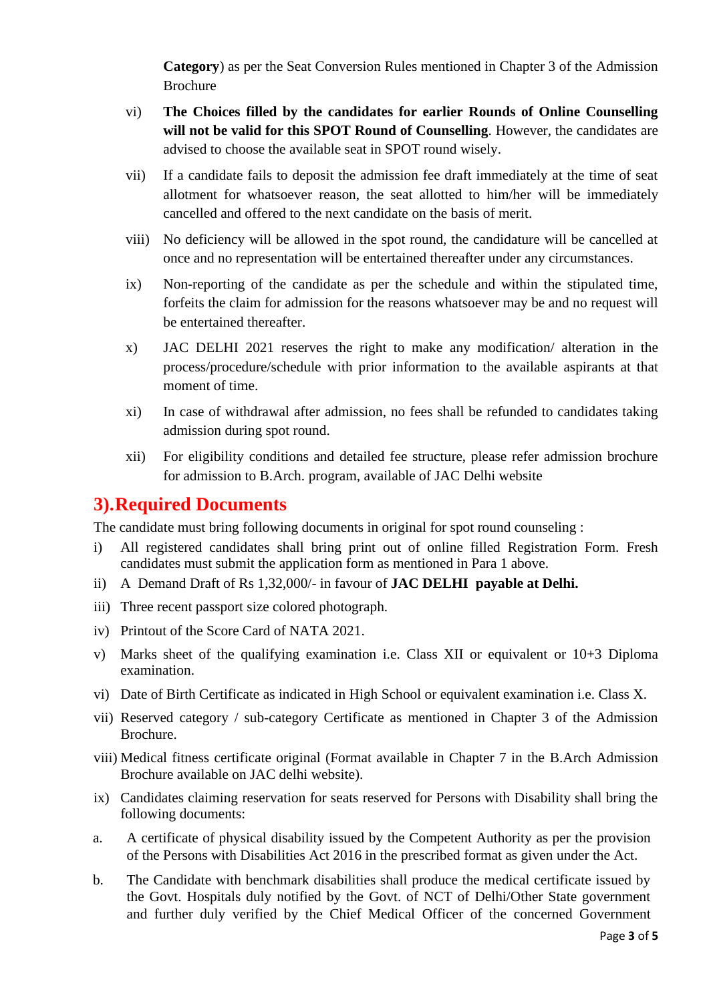**Category**) as per the Seat Conversion Rules mentioned in Chapter 3 of the Admission Brochure

- vi) **The Choices filled by the candidates for earlier Rounds of Online Counselling will not be valid for this SPOT Round of Counselling**. However, the candidates are advised to choose the available seat in SPOT round wisely.
- vii) If a candidate fails to deposit the admission fee draft immediately at the time of seat allotment for whatsoever reason, the seat allotted to him/her will be immediately cancelled and offered to the next candidate on the basis of merit.
- viii) No deficiency will be allowed in the spot round, the candidature will be cancelled at once and no representation will be entertained thereafter under any circumstances.
- ix) Non-reporting of the candidate as per the schedule and within the stipulated time, forfeits the claim for admission for the reasons whatsoever may be and no request will be entertained thereafter.
- x) JAC DELHI 2021 reserves the right to make any modification/ alteration in the process/procedure/schedule with prior information to the available aspirants at that moment of time.
- xi) In case of withdrawal after admission, no fees shall be refunded to candidates taking admission during spot round.
- xii) For eligibility conditions and detailed fee structure, please refer admission brochure for admission to B.Arch. program, available of JAC Delhi website

#### **3).Required Documents**

The candidate must bring following documents in original for spot round counseling :

- i) All registered candidates shall bring print out of online filled Registration Form. Fresh candidates must submit the application form as mentioned in Para 1 above.
- ii) A Demand Draft of Rs 1,32,000/- in favour of **JAC DELHI payable at Delhi.**
- iii) Three recent passport size colored photograph.
- iv) Printout of the Score Card of NATA 2021.
- v) Marks sheet of the qualifying examination i.e. Class XII or equivalent or 10+3 Diploma examination.
- vi) Date of Birth Certificate as indicated in High School or equivalent examination i.e. Class X.
- vii) Reserved category / sub-category Certificate as mentioned in Chapter 3 of the Admission Brochure.
- viii) Medical fitness certificate original (Format available in Chapter 7 in the B.Arch Admission Brochure available on JAC delhi website).
- ix) Candidates claiming reservation for seats reserved for Persons with Disability shall bring the following documents:
- a. A certificate of physical disability issued by the Competent Authority as per the provision of the Persons with Disabilities Act 2016 in the prescribed format as given under the Act.
- b. The Candidate with benchmark disabilities shall produce the medical certificate issued by the Govt. Hospitals duly notified by the Govt. of NCT of Delhi/Other State government and further duly verified by the Chief Medical Officer of the concerned Government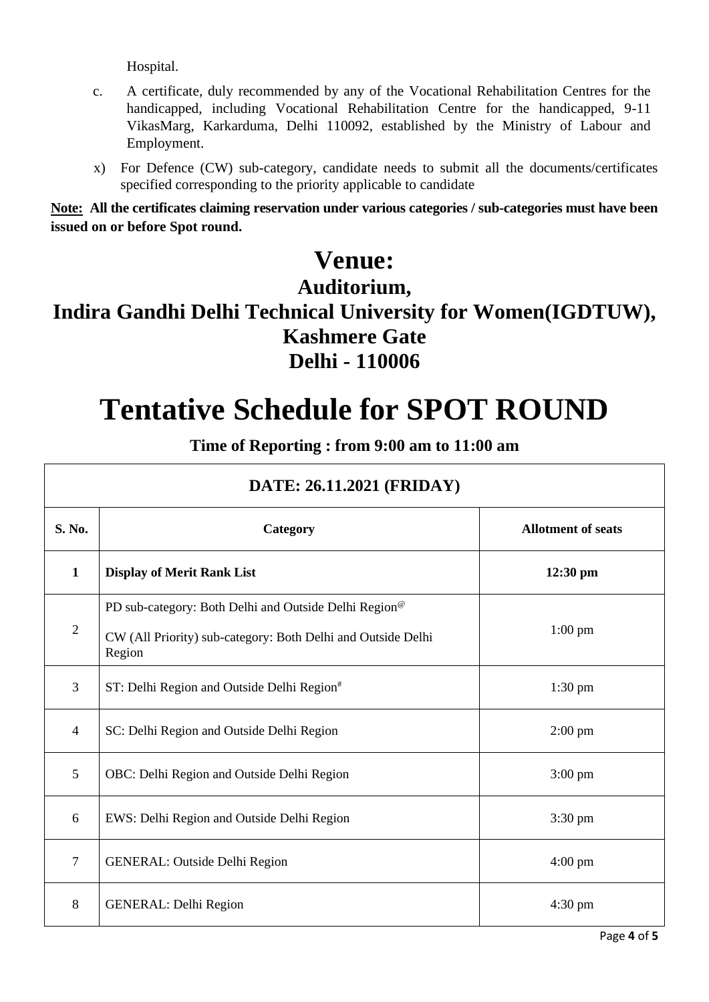Hospital.

- c. A certificate, duly recommended by any of the Vocational Rehabilitation Centres for the handicapped, including Vocational Rehabilitation Centre for the handicapped, 9-11 VikasMarg, Karkarduma, Delhi 110092, established by the Ministry of Labour and Employment.
- x) For Defence (CW) sub-category, candidate needs to submit all the documents/certificates specified corresponding to the priority applicable to candidate

**Note: All the certificates claiming reservation under various categories / sub-categories must have been issued on or before Spot round.**

### **Venue:**

### **Auditorium,**

### **Indira Gandhi Delhi Technical University for Women(IGDTUW), Kashmere Gate Delhi - 110006**

# **Tentative Schedule for SPOT ROUND**

**Time of Reporting : from 9:00 am to 11:00 am**

| DATE: 26.11.2021 (FRIDAY) |                                                                                                                                   |                           |
|---------------------------|-----------------------------------------------------------------------------------------------------------------------------------|---------------------------|
| S. No.                    | Category                                                                                                                          | <b>Allotment of seats</b> |
| $\mathbf{1}$              | <b>Display of Merit Rank List</b>                                                                                                 | $12:30$ pm                |
| $\overline{2}$            | PD sub-category: Both Delhi and Outside Delhi Region <sup>®</sup><br>CW (All Priority) sub-category: Both Delhi and Outside Delhi | $1:00$ pm                 |
|                           | Region                                                                                                                            |                           |
| 3                         | ST: Delhi Region and Outside Delhi Region#                                                                                        | $1:30$ pm                 |
| $\overline{4}$            | SC: Delhi Region and Outside Delhi Region                                                                                         | $2:00 \text{ pm}$         |
| 5                         | OBC: Delhi Region and Outside Delhi Region                                                                                        | $3:00 \text{ pm}$         |
| 6                         | EWS: Delhi Region and Outside Delhi Region                                                                                        | 3:30 pm                   |
| $\overline{7}$            | <b>GENERAL: Outside Delhi Region</b>                                                                                              | $4:00 \text{ pm}$         |
| 8                         | <b>GENERAL: Delhi Region</b>                                                                                                      | $4:30 \text{ pm}$         |